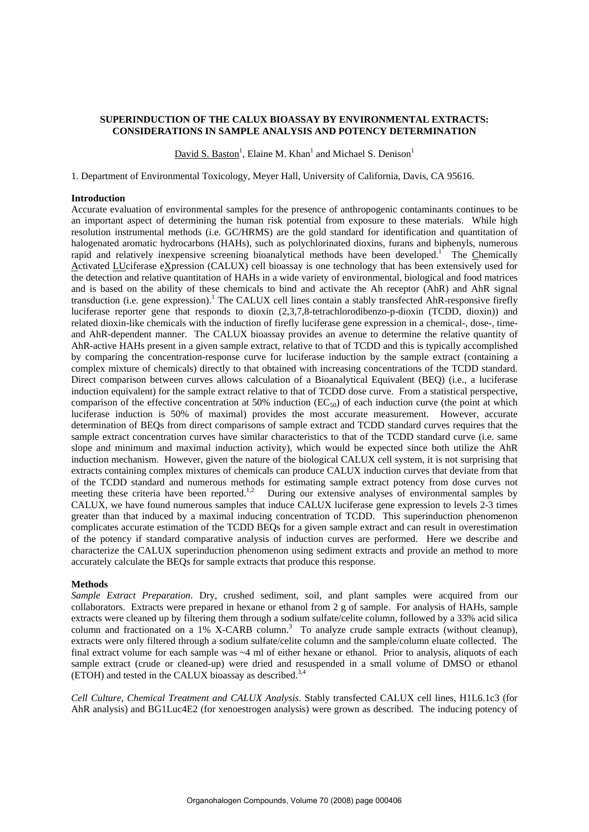# **SUPERINDUCTION OF THE CALUX BIOASSAY BY ENVIRONMENTAL EXTRACTS: CONSIDERATIONS IN SAMPLE ANALYSIS AND POTENCY DETERMINATION**

David S. Baston<sup>1</sup>, Elaine M. Khan<sup>1</sup> and Michael S. Denison<sup>1</sup>

1. Department of Environmental Toxicology, Meyer Hall, University of California, Davis, CA 95616.

## **Introduction**

Accurate evaluation of environmental samples for the presence of anthropogenic contaminants continues to be an important aspect of determining the human risk potential from exposure to these materials. While high resolution instrumental methods (i.e. GC/HRMS) are the gold standard for identification and quantitation of halogenated aromatic hydrocarbons (HAHs), such as polychlorinated dioxins, furans and biphenyls, numerous rapid and relatively inexpensive screening bioanalytical methods have been developed.<sup>1</sup> The Chemically Activated LUciferase eXpression (CALUX) cell bioassay is one technology that has been extensively used for the detection and relative quantitation of HAHs in a wide variety of environmental, biological and food matrices and is based on the ability of these chemicals to bind and activate the Ah receptor (AhR) and AhR signal transduction (i.e. gene expression).<sup>1</sup> The CALUX cell lines contain a stably transfected AhR-responsive firefly luciferase reporter gene that responds to dioxin (2,3,7,8-tetrachlorodibenzo-p-dioxin (TCDD, dioxin)) and related dioxin-like chemicals with the induction of firefly luciferase gene expression in a chemical-, dose-, timeand AhR-dependent manner. The CALUX bioassay provides an avenue to determine the relative quantity of AhR-active HAHs present in a given sample extract, relative to that of TCDD and this is typically accomplished by comparing the concentration-response curve for luciferase induction by the sample extract (containing a complex mixture of chemicals) directly to that obtained with increasing concentrations of the TCDD standard. Direct comparison between curves allows calculation of a Bioanalytical Equivalent (BEQ) (i.e., a luciferase induction equivalent) for the sample extract relative to that of TCDD dose curve. From a statistical perspective, comparison of the effective concentration at 50% induction ( $EC_{50}$ ) of each induction curve (the point at which luciferase induction is 50% of maximal) provides the most accurate measurement. However, accurate determination of BEQs from direct comparisons of sample extract and TCDD standard curves requires that the sample extract concentration curves have similar characteristics to that of the TCDD standard curve (i.e. same slope and minimum and maximal induction activity), which would be expected since both utilize the AhR induction mechanism. However, given the nature of the biological CALUX cell system, it is not surprising that extracts containing complex mixtures of chemicals can produce CALUX induction curves that deviate from that of the TCDD standard and numerous methods for estimating sample extract potency from dose curves not meeting these criteria have been reported.<sup>1,2</sup> During our extensive analyses of environmental samples by CALUX, we have found numerous samples that induce CALUX luciferase gene expression to levels 2-3 times greater than that induced by a maximal inducing concentration of TCDD. This superinduction phenomenon complicates accurate estimation of the TCDD BEQs for a given sample extract and can result in overestimation of the potency if standard comparative analysis of induction curves are performed. Here we describe and characterize the CALUX superinduction phenomenon using sediment extracts and provide an method to more accurately calculate the BEQs for sample extracts that produce this response.

#### **Methods**

*Sample Extract Preparation*. Dry, crushed sediment, soil, and plant samples were acquired from our collaborators. Extracts were prepared in hexane or ethanol from 2 g of sample. For analysis of HAHs, sample extracts were cleaned up by filtering them through a sodium sulfate/celite column, followed by a 33% acid silica column and fractionated on a  $1\%$  X-CARB column.<sup>3</sup> To analyze crude sample extracts (without cleanup), extracts were only filtered through a sodium sulfate/celite column and the sample/column eluate collected. The final extract volume for each sample was ~4 ml of either hexane or ethanol. Prior to analysis, aliquots of each sample extract (crude or cleaned-up) were dried and resuspended in a small volume of DMSO or ethanol (ETOH) and tested in the CALUX bioassay as described.3,4

*Cell Culture, Chemical Treatment and CALUX Analysis*. Stably transfected CALUX cell lines, H1L6.1c3 (for AhR analysis) and BG1Luc4E2 (for xenoestrogen analysis) were grown as described. The inducing potency of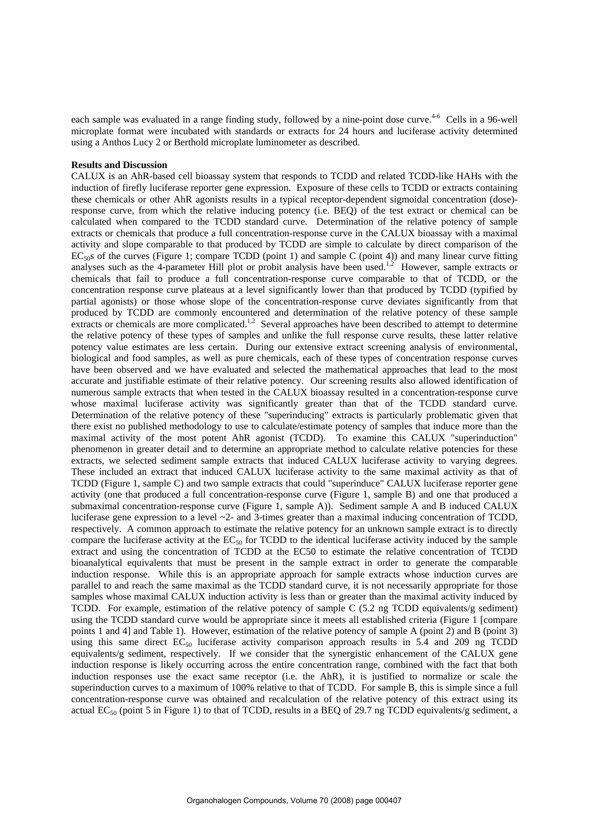each sample was evaluated in a range finding study, followed by a nine-point dose curve.<sup>4-6</sup> Cells in a 96-well microplate format were incubated with standards or extracts for 24 hours and luciferase activity determined using a Anthos Lucy 2 or Berthold microplate luminometer as described.

## **Results and Discussion**

CALUX is an AhR-based cell bioassay system that responds to TCDD and related TCDD-like HAHs with the induction of firefly luciferase reporter gene expression. Exposure of these cells to TCDD or extracts containing these chemicals or other AhR agonists results in a typical receptor-dependent sigmoidal concentration (dose) response curve, from which the relative inducing potency (i.e. BEQ) of the test extract or chemical can be calculated when compared to the TCDD standard curve. Determination of the relative potency of sample extracts or chemicals that produce a full concentration-response curve in the CALUX bioassay with a maximal activity and slope comparable to that produced by TCDD are simple to calculate by direct comparison of the  $EC_{50}$ s of the curves (Figure 1; compare TCDD (point 1) and sample C (point 4)) and many linear curve fitting analyses such as the 4-parameter Hill plot or probit analysis have been used.<sup>1,2</sup> However, sample extracts or chemicals that fail to produce a full concentration-response curve comparable to that of TCDD, or the concentration response curve plateaus at a level significantly lower than that produced by TCDD (typified by partial agonists) or those whose slope of the concentration-response curve deviates significantly from that produced by TCDD are commonly encountered and determination of the relative potency of these sample extracts or chemicals are more complicated.<sup>1,2</sup> Several approaches have been described to attempt to determine the relative potency of these types of samples and unlike the full response curve results, these latter relative potency value estimates are less certain. During our extensive extract screening analysis of environmental, biological and food samples, as well as pure chemicals, each of these types of concentration response curves have been observed and we have evaluated and selected the mathematical approaches that lead to the most accurate and justifiable estimate of their relative potency. Our screening results also allowed identification of numerous sample extracts that when tested in the CALUX bioassay resulted in a concentration-response curve whose maximal luciferase activity was significantly greater than that of the TCDD standard curve. Determination of the relative potency of these "superinducing" extracts is particularly problematic given that there exist no published methodology to use to calculate/estimate potency of samples that induce more than the maximal activity of the most potent AhR agonist (TCDD). To examine this CALUX "superinduction" phenomenon in greater detail and to determine an appropriate method to calculate relative potencies for these extracts, we selected sediment sample extracts that induced CALUX luciferase activity to varying degrees. These included an extract that induced CALUX luciferase activity to the same maximal activity as that of TCDD (Figure 1, sample C) and two sample extracts that could "superinduce" CALUX luciferase reporter gene activity (one that produced a full concentration-response curve (Figure 1, sample B) and one that produced a submaximal concentration-response curve (Figure 1, sample A)). Sediment sample A and B induced CALUX luciferase gene expression to a level ~2- and 3-times greater than a maximal inducing concentration of TCDD, respectively. A common approach to estimate the relative potency for an unknown sample extract is to directly compare the luciferase activity at the  $EC_{50}$  for TCDD to the identical luciferase activity induced by the sample extract and using the concentration of TCDD at the EC50 to estimate the relative concentration of TCDD bioanalytical equivalents that must be present in the sample extract in order to generate the comparable induction response. While this is an appropriate approach for sample extracts whose induction curves are parallel to and reach the same maximal as the TCDD standard curve, it is not necessarily appropriate for those samples whose maximal CALUX induction activity is less than or greater than the maximal activity induced by TCDD. For example, estimation of the relative potency of sample C (5.2 ng TCDD equivalents/g sediment) using the TCDD standard curve would be appropriate since it meets all established criteria (Figure 1 [compare points 1 and 4] and Table 1). However, estimation of the relative potency of sample A (point 2) and B (point 3) using this same direct  $EC_{50}$  luciferase activity comparison approach results in 5.4 and 209 ng TCDD equivalents/g sediment, respectively. If we consider that the synergistic enhancement of the CALUX gene induction response is likely occurring across the entire concentration range, combined with the fact that both induction responses use the exact same receptor (i.e. the AhR), it is justified to normalize or scale the superinduction curves to a maximum of 100% relative to that of TCDD. For sample B, this is simple since a full concentration-response curve was obtained and recalculation of the relative potency of this extract using its actual EC<sub>50</sub> (point 5 in Figure 1) to that of TCDD, results in a BEQ of 29.7 ng TCDD equivalents/g sediment, a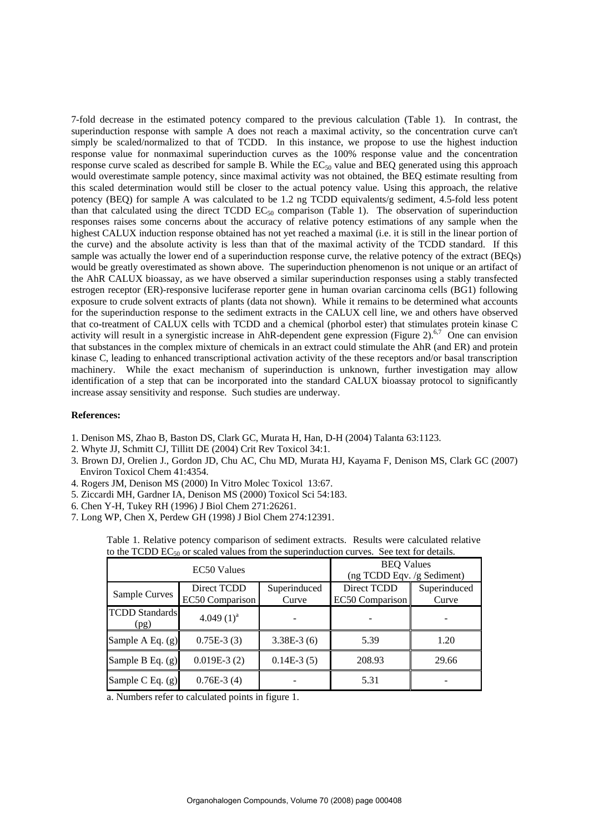7-fold decrease in the estimated potency compared to the previous calculation (Table 1). In contrast, the superinduction response with sample A does not reach a maximal activity, so the concentration curve can't simply be scaled/normalized to that of TCDD. In this instance, we propose to use the highest induction response value for nonmaximal superinduction curves as the 100% response value and the concentration response curve scaled as described for sample B. While the  $EC_{50}$  value and BEQ generated using this approach would overestimate sample potency, since maximal activity was not obtained, the BEQ estimate resulting from this scaled determination would still be closer to the actual potency value. Using this approach, the relative potency (BEQ) for sample A was calculated to be 1.2 ng TCDD equivalents/g sediment, 4.5-fold less potent than that calculated using the direct TCDD  $EC_{50}$  comparison (Table 1). The observation of superinduction responses raises some concerns about the accuracy of relative potency estimations of any sample when the highest CALUX induction response obtained has not yet reached a maximal (i.e. it is still in the linear portion of the curve) and the absolute activity is less than that of the maximal activity of the TCDD standard. If this sample was actually the lower end of a superinduction response curve, the relative potency of the extract (BEQs) would be greatly overestimated as shown above. The superinduction phenomenon is not unique or an artifact of the AhR CALUX bioassay, as we have observed a similar superinduction responses using a stably transfected estrogen receptor (ER)-responsive luciferase reporter gene in human ovarian carcinoma cells (BG1) following exposure to crude solvent extracts of plants (data not shown). While it remains to be determined what accounts for the superinduction response to the sediment extracts in the CALUX cell line, we and others have observed that co-treatment of CALUX cells with TCDD and a chemical (phorbol ester) that stimulates protein kinase C activity will result in a synergistic increase in AhR-dependent gene expression (Figure 2).<sup>6,7</sup> One can envision that substances in the complex mixture of chemicals in an extract could stimulate the AhR (and ER) and protein kinase C, leading to enhanced transcriptional activation activity of the these receptors and/or basal transcription machinery. While the exact mechanism of superinduction is unknown, further investigation may allow identification of a step that can be incorporated into the standard CALUX bioassay protocol to significantly increase assay sensitivity and response. Such studies are underway.

## **References:**

- 1. Denison MS, Zhao B, Baston DS, Clark GC, Murata H, Han, D-H (2004) Talanta 63:1123.
- 2. Whyte JJ, Schmitt CJ, Tillitt DE (2004) Crit Rev Toxicol 34:1.
- 3. Brown DJ, Orelien J., Gordon JD, Chu AC, Chu MD, Murata HJ, Kayama F, Denison MS, Clark GC (2007) Environ Toxicol Chem 41:4354.
- 4. Rogers JM, Denison MS (2000) In Vitro Molec Toxicol 13:67.
- 5. Ziccardi MH, Gardner IA, Denison MS (2000) Toxicol Sci 54:183.
- 6. Chen Y-H, Tukey RH (1996) J Biol Chem 271:26261.
- 7. Long WP, Chen X, Perdew GH (1998) J Biol Chem 274:12391.

| Table 1. Relative potency comparison of sediment extracts. Results were calculated relative  |  |
|----------------------------------------------------------------------------------------------|--|
| to the TCDD $EC_{50}$ or scaled values from the superinduction curves. See text for details. |  |

| EC50 Values                   |                                | <b>BEQ Values</b><br>(ng TCDD Eqv. /g Sediment) |                                |                       |
|-------------------------------|--------------------------------|-------------------------------------------------|--------------------------------|-----------------------|
| Sample Curves                 | Direct TCDD<br>EC50 Comparison | Superinduced<br>Curve                           | Direct TCDD<br>EC50 Comparison | Superinduced<br>Curve |
| <b>TCDD Standards</b><br>(pg) | 4.049 $(1)^a$                  |                                                 |                                |                       |
| Sample A Eq. (g)              | $0.75E-3(3)$                   | $3.38E-3(6)$                                    | 5.39                           | 1.20                  |
| Sample B Eq. (g)              | $0.019E-3(2)$                  | $0.14E-3(5)$                                    | 208.93                         | 29.66                 |
| Sample C Eq. $(g)$            | $0.76E-3(4)$                   |                                                 | 5.31                           |                       |

a. Numbers refer to calculated points in figure 1.